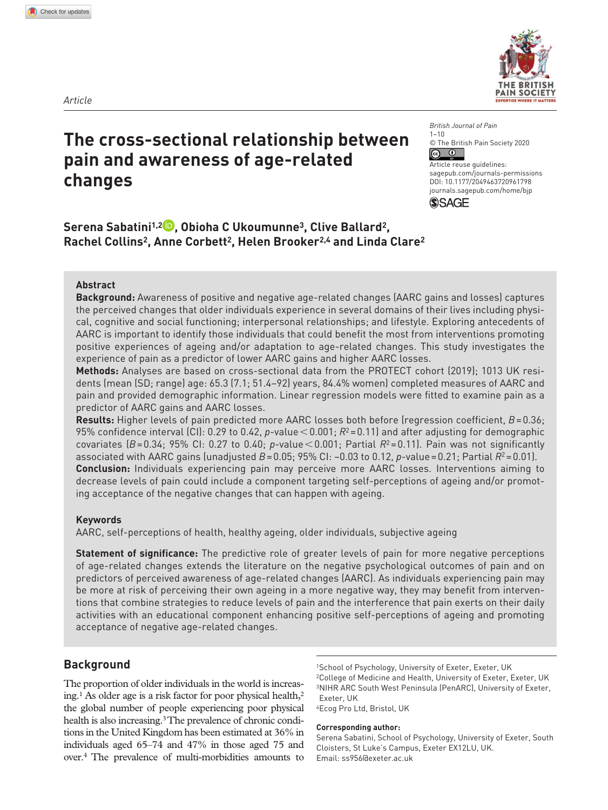

# **The cross-sectional relationship between pain and awareness of age-related changes**

*British Journal of Pain*  $1 - 10$ © The British Pain Society 2020  $\boxed{6}$ 

Article reuse guidelines: [sagepub.com/journals-permissions](https://uk.sagepub.com/en-gb/journals-permissions) DOI: 10.1177/2049463720961798 [journals.sagepub.com/home/bjp](https://journals.sagepub.com/home/bjp) **SSAGE** 

**Serena Sabatini1,2 , Obioha C Ukoumunne3, Clive Ballard2, Rachel Collins2, Anne Corbett2, Helen Brooker2,4 and Linda Clare2**

# **Abstract**

**Background:** Awareness of positive and negative age-related changes (AARC gains and losses) captures the perceived changes that older individuals experience in several domains of their lives including physical, cognitive and social functioning; interpersonal relationships; and lifestyle. Exploring antecedents of AARC is important to identify those individuals that could benefit the most from interventions promoting positive experiences of ageing and/or adaptation to age-related changes. This study investigates the experience of pain as a predictor of lower AARC gains and higher AARC losses.

**Methods:** Analyses are based on cross-sectional data from the PROTECT cohort (2019); 1013 UK residents (mean (SD; range) age: 65.3 (7.1; 51.4–92) years, 84.4% women) completed measures of AARC and pain and provided demographic information. Linear regression models were fitted to examine pain as a predictor of AARC gains and AARC losses.

**Results:** Higher levels of pain predicted more AARC losses both before (regression coefficient, *B*=0.36; 95% confidence interval (CI): 0.29 to 0.42, *p*-value<0.001; *R*<sup>2</sup> =0.11) and after adjusting for demographic covariates  $(B=0.34; 95\%$  CI: 0.27 to 0.40; *p*-value < 0.001; Partial  $R^2$ =0.11). Pain was not significantly associated with AARC gains (unadjusted *B*=0.05; 95% CI: −0.03 to 0.12, *p*-value=0.21; Partial *R*<sup>2</sup> =0.01). **Conclusion:** Individuals experiencing pain may perceive more AARC losses. Interventions aiming to decrease levels of pain could include a component targeting self-perceptions of ageing and/or promoting acceptance of the negative changes that can happen with ageing.

### **Keywords**

AARC, self-perceptions of health, healthy ageing, older individuals, subjective ageing

**Statement of significance:** The predictive role of greater levels of pain for more negative perceptions of age-related changes extends the literature on the negative psychological outcomes of pain and on predictors of perceived awareness of age-related changes (AARC). As individuals experiencing pain may be more at risk of perceiving their own ageing in a more negative way, they may benefit from interventions that combine strategies to reduce levels of pain and the interference that pain exerts on their daily activities with an educational component enhancing positive self-perceptions of ageing and promoting acceptance of negative age-related changes.

# **Background**

The proportion of older individuals in the world is increasing.<sup>1</sup> As older age is a risk factor for poor physical health,<sup>2</sup> the global number of people experiencing poor physical health is also increasing.<sup>3</sup> The prevalence of chronic conditions in the United Kingdom has been estimated at 36% in individuals aged 65–74 and 47% in those aged 75 and over.4 The prevalence of multi-morbidities amounts to

1School of Psychology, University of Exeter, Exeter, UK 2College of Medicine and Health, University of Exeter, Exeter, UK 3NIHR ARC South West Peninsula (PenARC), University of Exeter, Exeter, UK 4Ecog Pro Ltd, Bristol, UK

**Corresponding author:**

Serena Sabatini, School of Psychology, University of Exeter, South Cloisters, St Luke's Campus, Exeter EX12LU, UK. Email: [ss956@exeter.ac.uk](mailto:ss956@exeter.ac.uk)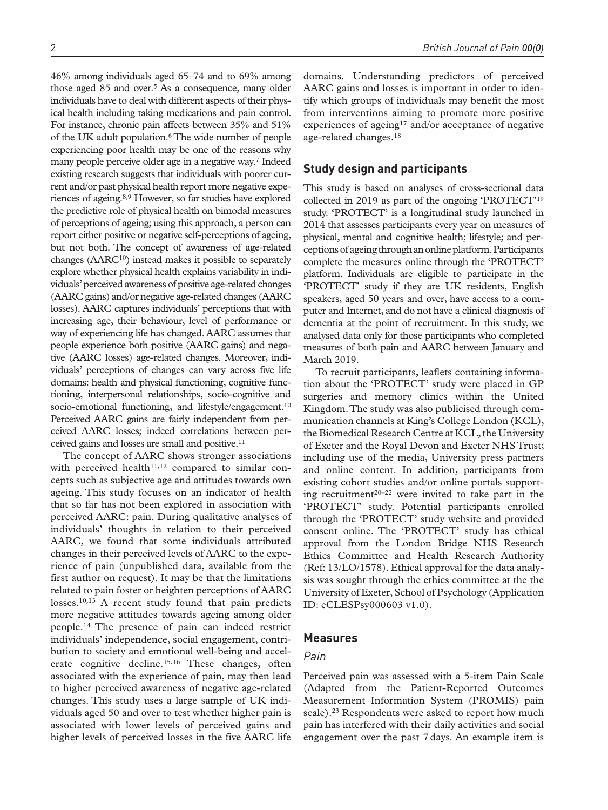46% among individuals aged 65–74 and to 69% among those aged  $85$  and over.<sup>5</sup> As a consequence, many older individuals have to deal with different aspects of their physical health including taking medications and pain control. For instance, chronic pain affects between 35% and 51% of the UK adult population.6 The wide number of people experiencing poor health may be one of the reasons why many people perceive older age in a negative way.7 Indeed existing research suggests that individuals with poorer current and/or past physical health report more negative experiences of ageing.8,9 However, so far studies have explored the predictive role of physical health on bimodal measures of perceptions of ageing; using this approach, a person can report either positive or negative self-perceptions of ageing, but not both. The concept of awareness of age-related changes (AARC<sup>10</sup>) instead makes it possible to separately explore whether physical health explains variability in individuals' perceived awareness of positive age-related changes (AARC gains) and/or negative age-related changes (AARC losses). AARC captures individuals' perceptions that with increasing age, their behaviour, level of performance or way of experiencing life has changed. AARC assumes that people experience both positive (AARC gains) and negative (AARC losses) age-related changes. Moreover, individuals' perceptions of changes can vary across five life domains: health and physical functioning, cognitive functioning, interpersonal relationships, socio-cognitive and socio-emotional functioning, and lifestyle/engagement.<sup>10</sup> Perceived AARC gains are fairly independent from perceived AARC losses; indeed correlations between perceived gains and losses are small and positive.<sup>11</sup>

The concept of AARC shows stronger associations with perceived health $11,12$  compared to similar concepts such as subjective age and attitudes towards own ageing. This study focuses on an indicator of health that so far has not been explored in association with perceived AARC: pain. During qualitative analyses of individuals' thoughts in relation to their perceived AARC, we found that some individuals attributed changes in their perceived levels of AARC to the experience of pain (unpublished data, available from the first author on request). It may be that the limitations related to pain foster or heighten perceptions of AARC losses.10,13 A recent study found that pain predicts more negative attitudes towards ageing among older people.14 The presence of pain can indeed restrict individuals' independence, social engagement, contribution to society and emotional well-being and accelerate cognitive decline.<sup>15,16</sup> These changes, often associated with the experience of pain, may then lead to higher perceived awareness of negative age-related changes. This study uses a large sample of UK individuals aged 50 and over to test whether higher pain is associated with lower levels of perceived gains and higher levels of perceived losses in the five AARC life

domains. Understanding predictors of perceived AARC gains and losses is important in order to identify which groups of individuals may benefit the most from interventions aiming to promote more positive experiences of ageing<sup>17</sup> and/or acceptance of negative age-related changes.18

# **Study design and participants**

This study is based on analyses of cross-sectional data collected in 2019 as part of the ongoing 'PROTECT'19 study. 'PROTECT' is a longitudinal study launched in 2014 that assesses participants every year on measures of physical, mental and cognitive health; lifestyle; and perceptions of ageing through an online platform. Participants complete the measures online through the 'PROTECT' platform. Individuals are eligible to participate in the 'PROTECT' study if they are UK residents, English speakers, aged 50 years and over, have access to a computer and Internet, and do not have a clinical diagnosis of dementia at the point of recruitment. In this study, we analysed data only for those participants who completed measures of both pain and AARC between January and March 2019.

To recruit participants, leaflets containing information about the 'PROTECT' study were placed in GP surgeries and memory clinics within the United Kingdom. The study was also publicised through communication channels at King's College London (KCL), the Biomedical Research Centre at KCL, the University of Exeter and the Royal Devon and Exeter NHS Trust; including use of the media, University press partners and online content. In addition, participants from existing cohort studies and/or online portals supporting recruitment20–22 were invited to take part in the 'PROTECT' study. Potential participants enrolled through the 'PROTECT' study website and provided consent online. The 'PROTECT' study has ethical approval from the London Bridge NHS Research Ethics Committee and Health Research Authority (Ref: 13/LO/1578). Ethical approval for the data analysis was sought through the ethics committee at the the University of Exeter, School of Psychology (Application ID: eCLESPsy000603 v1.0).

### **Measures**

# *Pain*

Perceived pain was assessed with a 5-item Pain Scale (Adapted from the Patient-Reported Outcomes Measurement Information System (PROMIS) pain scale).<sup>23</sup> Respondents were asked to report how much pain has interfered with their daily activities and social engagement over the past 7days. An example item is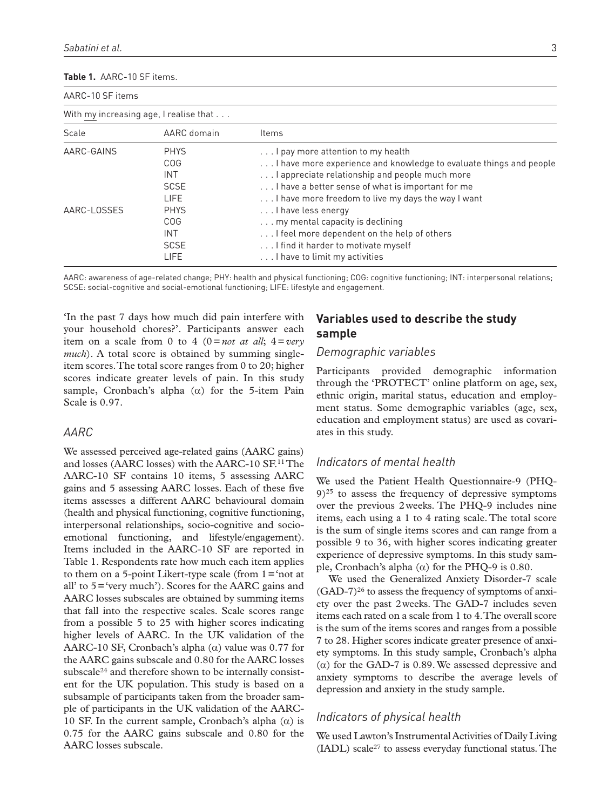#### **Table 1.** AARC-10 SF items.

| AARC-10 SF items                       |                            |                                                                                                         |  |  |  |  |  |
|----------------------------------------|----------------------------|---------------------------------------------------------------------------------------------------------|--|--|--|--|--|
| With my increasing age, I realise that |                            |                                                                                                         |  |  |  |  |  |
| Scale                                  | AARC domain                | Items                                                                                                   |  |  |  |  |  |
| AARC-GAINS                             | <b>PHYS</b><br><b>COG</b>  | I pay more attention to my health<br>I have more experience and knowledge to evaluate things and people |  |  |  |  |  |
|                                        | INT                        | I appreciate relationship and people much more                                                          |  |  |  |  |  |
|                                        | <b>SCSE</b><br><b>LIFE</b> | I have a better sense of what is important for me<br>I have more freedom to live my days the way I want |  |  |  |  |  |
| AARC-LOSSES                            | <b>PHYS</b><br><b>COG</b>  | I have less energy<br>my mental capacity is declining                                                   |  |  |  |  |  |
|                                        | INT<br><b>SCSE</b>         | I feel more dependent on the help of others<br>I find it harder to motivate myself                      |  |  |  |  |  |
|                                        | LIFE                       | I have to limit my activities                                                                           |  |  |  |  |  |

AARC: awareness of age-related change; PHY: health and physical functioning; COG: cognitive functioning; INT: interpersonal relations; SCSE: social-cognitive and social-emotional functioning; LIFE: lifestyle and engagement.

'In the past 7 days how much did pain interfere with your household chores?'. Participants answer each item on a scale from 0 to 4 ( $0 = not$  at all;  $4 = very$ *much*). A total score is obtained by summing singleitem scores. The total score ranges from 0 to 20; higher scores indicate greater levels of pain. In this study sample, Cronbach's alpha  $(\alpha)$  for the 5-item Pain Scale is 0.97.

## *AARC*

We assessed perceived age-related gains (AARC gains) and losses (AARC losses) with the AARC-10 SF.11 The AARC-10 SF contains 10 items, 5 assessing AARC gains and 5 assessing AARC losses. Each of these five items assesses a different AARC behavioural domain (health and physical functioning, cognitive functioning, interpersonal relationships, socio-cognitive and socioemotional functioning, and lifestyle/engagement). Items included in the AARC-10 SF are reported in Table 1. Respondents rate how much each item applies to them on a 5-point Likert-type scale (from  $1 = 'not$  at all' to 5='very much'). Scores for the AARC gains and AARC losses subscales are obtained by summing items that fall into the respective scales. Scale scores range from a possible 5 to 25 with higher scores indicating higher levels of AARC. In the UK validation of the AARC-10 SF, Cronbach's alpha  $(\alpha)$  value was 0.77 for the AARC gains subscale and 0.80 for the AARC losses subscale<sup>24</sup> and therefore shown to be internally consistent for the UK population. This study is based on a subsample of participants taken from the broader sample of participants in the UK validation of the AARC-10 SF. In the current sample, Cronbach's alpha (α) is 0.75 for the AARC gains subscale and 0.80 for the AARC losses subscale.

# **Variables used to describe the study sample**

## *Demographic variables*

Participants provided demographic information through the 'PROTECT' online platform on age, sex, ethnic origin, marital status, education and employment status. Some demographic variables (age, sex, education and employment status) are used as covariates in this study.

# *Indicators of mental health*

We used the Patient Health Questionnaire-9 (PHQ- $9)$ <sup>25</sup> to assess the frequency of depressive symptoms over the previous 2weeks. The PHQ-9 includes nine items, each using a 1 to 4 rating scale. The total score is the sum of single items scores and can range from a possible 9 to 36, with higher scores indicating greater experience of depressive symptoms. In this study sample, Cronbach's alpha  $(\alpha)$  for the PHQ-9 is 0.80.

We used the Generalized Anxiety Disorder-7 scale  $(GAD-7)^{26}$  to assess the frequency of symptoms of anxiety over the past 2weeks. The GAD-7 includes seven items each rated on a scale from 1 to 4. The overall score is the sum of the items scores and ranges from a possible 7 to 28. Higher scores indicate greater presence of anxiety symptoms. In this study sample, Cronbach's alpha (α) for the GAD-7 is 0.89. We assessed depressive and anxiety symptoms to describe the average levels of depression and anxiety in the study sample.

# *Indicators of physical health*

We used Lawton's Instrumental Activities of Daily Living (IADL) scale27 to assess everyday functional status. The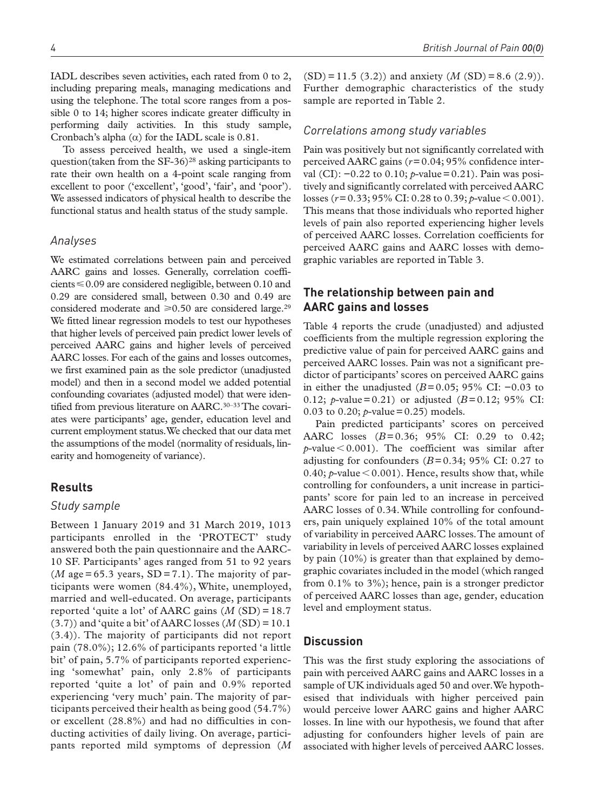IADL describes seven activities, each rated from 0 to 2, including preparing meals, managing medications and using the telephone. The total score ranges from a possible 0 to 14; higher scores indicate greater difficulty in performing daily activities. In this study sample, Cronbach's alpha  $(\alpha)$  for the IADL scale is 0.81.

To assess perceived health, we used a single-item question(taken from the SF-36)<sup>28</sup> asking participants to rate their own health on a 4-point scale ranging from excellent to poor ('excellent', 'good', 'fair', and 'poor'). We assessed indicators of physical health to describe the functional status and health status of the study sample.

## *Analyses*

We estimated correlations between pain and perceived AARC gains and losses. Generally, correlation coefficients  $\leq 0.09$  are considered negligible, between 0.10 and 0.29 are considered small, between 0.30 and 0.49 are considered moderate and  $\geq 0.50$  are considered large.<sup>29</sup> We fitted linear regression models to test our hypotheses that higher levels of perceived pain predict lower levels of perceived AARC gains and higher levels of perceived AARC losses. For each of the gains and losses outcomes, we first examined pain as the sole predictor (unadjusted model) and then in a second model we added potential confounding covariates (adjusted model) that were identified from previous literature on AARC.<sup>30-33</sup> The covariates were participants' age, gender, education level and current employment status. We checked that our data met the assumptions of the model (normality of residuals, linearity and homogeneity of variance).

## **Results**

## *Study sample*

Between 1 January 2019 and 31 March 2019, 1013 participants enrolled in the 'PROTECT' study answered both the pain questionnaire and the AARC-10 SF. Participants' ages ranged from 51 to 92 years  $(M \text{ age} = 65.3 \text{ years}, SD = 7.1)$ . The majority of participants were women (84.4%), White, unemployed, married and well-educated. On average, participants reported 'quite a lot' of AARC gains  $(M (SD) = 18.7)$  $(3.7)$ ) and 'quite a bit' of AARC losses  $(M(SD)=10.1)$ (3.4)). The majority of participants did not report pain (78.0%); 12.6% of participants reported 'a little bit' of pain, 5.7% of participants reported experiencing 'somewhat' pain, only 2.8% of participants reported 'quite a lot' of pain and 0.9% reported experiencing 'very much' pain. The majority of participants perceived their health as being good (54.7%) or excellent (28.8%) and had no difficulties in conducting activities of daily living. On average, participants reported mild symptoms of depression (*M*

 $(SD) = 11.5$  (3.2)) and anxiety (*M* (SD) = 8.6 (2.9)). Further demographic characteristics of the study sample are reported in Table 2.

## *Correlations among study variables*

Pain was positively but not significantly correlated with perceived AARC gains (*r*=0.04; 95% confidence interval (CI): −0.22 to 0.10; *p*-value=0.21). Pain was positively and significantly correlated with perceived AARC losses (*r*=0.33; 95% CI: 0.28 to 0.39; *p*-value<0.001). This means that those individuals who reported higher levels of pain also reported experiencing higher levels of perceived AARC losses. Correlation coefficients for perceived AARC gains and AARC losses with demographic variables are reported in Table 3.

# **The relationship between pain and AARC gains and losses**

Table 4 reports the crude (unadjusted) and adjusted coefficients from the multiple regression exploring the predictive value of pain for perceived AARC gains and perceived AARC losses. Pain was not a significant predictor of participants' scores on perceived AARC gains in either the unadjusted ( $B=0.05$ ; 95% CI: −0.03 to 0.12; *p*-value=0.21) or adjusted ( $B=0.12$ ; 95% CI: 0.03 to 0.20;  $p$ -value = 0.25) models.

Pain predicted participants' scores on perceived AARC losses (*B*=0.36; 95% CI: 0.29 to 0.42;  $p$ -value < 0.001). The coefficient was similar after adjusting for confounders  $(B=0.34; 95\% \text{ CI: } 0.27 \text{ to } 0.27 \text{ }^2)$ 0.40;  $p$ -value  $\leq$  0.001). Hence, results show that, while controlling for confounders, a unit increase in participants' score for pain led to an increase in perceived AARC losses of 0.34. While controlling for confounders, pain uniquely explained 10% of the total amount of variability in perceived AARC losses. The amount of variability in levels of perceived AARC losses explained by pain (10%) is greater than that explained by demographic covariates included in the model (which ranged from 0.1% to 3%); hence, pain is a stronger predictor of perceived AARC losses than age, gender, education level and employment status.

#### **Discussion**

This was the first study exploring the associations of pain with perceived AARC gains and AARC losses in a sample of UK individuals aged 50 and over. We hypothesised that individuals with higher perceived pain would perceive lower AARC gains and higher AARC losses. In line with our hypothesis, we found that after adjusting for confounders higher levels of pain are associated with higher levels of perceived AARC losses.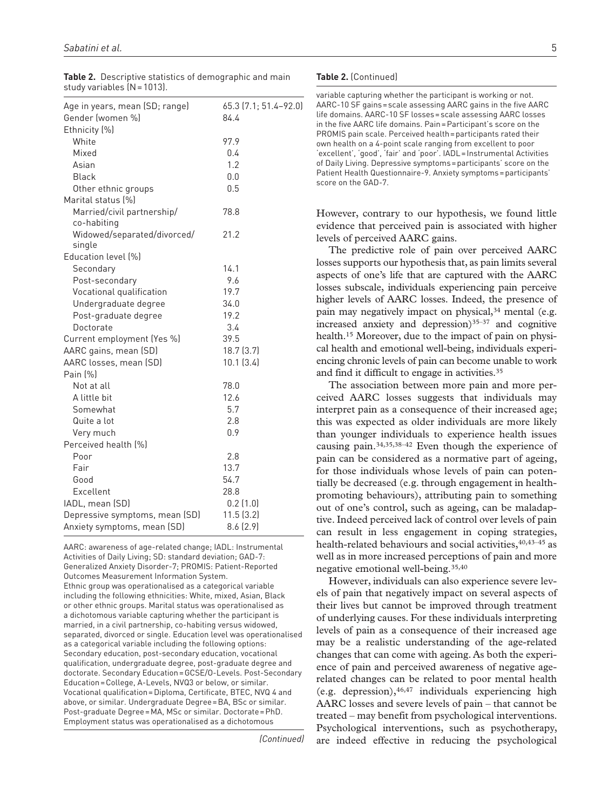| Age in years, mean (SD; range) | 65.3 (7.1; 51.4–92.0) |
|--------------------------------|-----------------------|
| Gender (women %)               | 84.4                  |
| Ethnicity (%)                  |                       |
| White                          | 97.9                  |
| Mixed                          | 0.4                   |
| Asian                          | 1.2                   |
| <b>Black</b>                   | 0.0                   |
| Other ethnic groups            | 0.5                   |
| Marital status [%]             |                       |
| Married/civil partnership/     | 78.8                  |
| co-habiting                    |                       |
| Widowed/separated/divorced/    | 21.2                  |
| single                         |                       |
| Education level [%]            |                       |
| Secondary                      | 14.1                  |
| Post-secondary                 | 9.6                   |
| Vocational qualification       | 19.7                  |
| Undergraduate degree           | 34.0                  |
| Post-graduate degree           | 19.2                  |
| Doctorate                      | 3.4                   |
| Current employment (Yes %)     | 39.5                  |
| AARC gains, mean (SD)          | 18.7(3.7)             |
| AARC losses, mean (SD)         | 10.1(3.4)             |
| Pain [%]                       |                       |
| Not at all                     | 78.0                  |
| A little bit                   | 12.6                  |
| Somewhat                       | 5.7                   |
| Quite a lot                    | 2.8                   |
| Very much                      | 0.9                   |
| Perceived health (%)           |                       |
| Poor                           | 2.8                   |
| Fair                           | 13.7                  |
| Good                           | 54.7                  |
| Excellent                      | 28.8                  |
| IADL, mean (SD)                | 0.2(1.0)              |
| Depressive symptoms, mean (SD) | 11.5(3.2)             |
| Anxiety symptoms, mean (SD)    | 8.6(2.9)              |
|                                |                       |

**Table 2.** Descriptive statistics of demographic and main study variables (N=1013).

AARC: awareness of age-related change; IADL: Instrumental Activities of Daily Living; SD: standard deviation; GAD-7: Generalized Anxiety Disorder-7; PROMIS: Patient-Reported Outcomes Measurement Information System. Ethnic group was operationalised as a categorical variable including the following ethnicities: White, mixed, Asian, Black or other ethnic groups. Marital status was operationalised as a dichotomous variable capturing whether the participant is married, in a civil partnership, co-habiting versus widowed, separated, divorced or single. Education level was operationalised as a categorical variable including the following options: Secondary education, post-secondary education, vocational qualification, undergraduate degree, post-graduate degree and doctorate. Secondary Education=GCSE/O-Levels. Post-Secondary Education=College, A-Levels, NVQ3 or below, or similar. Vocational qualification=Diploma, Certificate, BTEC, NVQ 4 and above, or similar. Undergraduate Degree=BA, BSc or similar. Post-graduate Degree=MA, MSc or similar. Doctorate=PhD. Employment status was operationalised as a dichotomous

*(Continued)*

#### **Table 2.** (Continued)

variable capturing whether the participant is working or not. AARC-10 SF gains=scale assessing AARC gains in the five AARC life domains. AARC-10 SF losses=scale assessing AARC losses in the five AARC life domains. Pain=Participant's score on the PROMIS pain scale. Perceived health=participants rated their own health on a 4-point scale ranging from excellent to poor 'excellent', 'good', 'fair' and 'poor'. IADL=Instrumental Activities of Daily Living. Depressive symptoms=participants' score on the Patient Health Questionnaire-9. Anxiety symptoms=participants' score on the GAD-7.

However, contrary to our hypothesis, we found little evidence that perceived pain is associated with higher levels of perceived AARC gains.

The predictive role of pain over perceived AARC losses supports our hypothesis that, as pain limits several aspects of one's life that are captured with the AARC losses subscale, individuals experiencing pain perceive higher levels of AARC losses. Indeed, the presence of pain may negatively impact on physical,<sup>34</sup> mental (e.g. increased anxiety and depression) $35-37$  and cognitive health.<sup>15</sup> Moreover, due to the impact of pain on physical health and emotional well-being, individuals experiencing chronic levels of pain can become unable to work and find it difficult to engage in activities.35

The association between more pain and more perceived AARC losses suggests that individuals may interpret pain as a consequence of their increased age; this was expected as older individuals are more likely than younger individuals to experience health issues causing pain.34,35,38–42 Even though the experience of pain can be considered as a normative part of ageing, for those individuals whose levels of pain can potentially be decreased (e.g. through engagement in healthpromoting behaviours), attributing pain to something out of one's control, such as ageing, can be maladaptive. Indeed perceived lack of control over levels of pain can result in less engagement in coping strategies, health-related behaviours and social activities, 40,43-45 as well as in more increased perceptions of pain and more negative emotional well-being.35,40

However, individuals can also experience severe levels of pain that negatively impact on several aspects of their lives but cannot be improved through treatment of underlying causes. For these individuals interpreting levels of pain as a consequence of their increased age may be a realistic understanding of the age-related changes that can come with ageing. As both the experience of pain and perceived awareness of negative agerelated changes can be related to poor mental health (e.g. depression),  $46,47$  individuals experiencing high AARC losses and severe levels of pain – that cannot be treated – may benefit from psychological interventions. Psychological interventions, such as psychotherapy, are indeed effective in reducing the psychological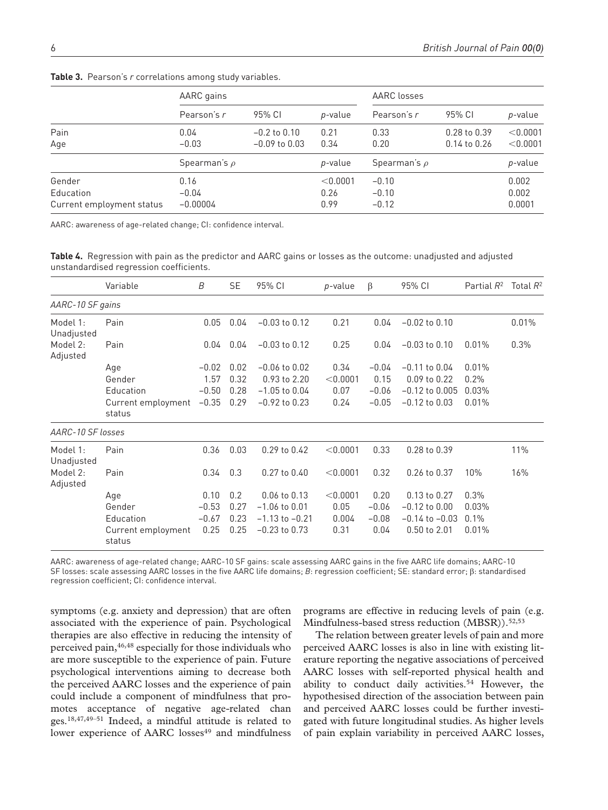|                           | AARC gains        |                            |                 | AARC losses       |                            |                     |  |
|---------------------------|-------------------|----------------------------|-----------------|-------------------|----------------------------|---------------------|--|
|                           | Pearson's r       | 95% CI<br>$-0.2$ to $0.10$ | p-value         | Pearson's r       | 95% CI<br>$0.28$ to $0.39$ | p-value<br>< 0.0001 |  |
| Pain                      | 0.04              |                            | 0.21            | 0.33              |                            |                     |  |
| Age                       | $-0.03$           | $-0.09$ to $0.03$          | 0.34            | 0.20              | $0.14$ to $0.26$           | < 0.0001            |  |
|                           | Spearman's $\rho$ |                            | <i>p</i> -value | Spearman's $\rho$ |                            | p-value             |  |
| Gender                    | 0.16              |                            | < 0.0001        | $-0.10$           |                            | 0.002               |  |
| Education                 | $-0.04$           |                            | 0.26            | $-0.10$           |                            | 0.002               |  |
| Current employment status | $-0.00004$        |                            | 0.99            | $-0.12$           |                            | 0.0001              |  |

**Table 3.** Pearson's *r* correlations among study variables.

AARC: awareness of age-related change; CI: confidence interval.

**Table 4.** Regression with pain as the predictor and AARC gains or losses as the outcome: unadjusted and adjusted unstandardised regression coefficients.

|                        | Variable                     | B       | <b>SE</b> | 95% CI             | p-value  | β       | 95% CI             | Partial R <sup>2</sup> | Total $R^2$ |
|------------------------|------------------------------|---------|-----------|--------------------|----------|---------|--------------------|------------------------|-------------|
| AARC-10 SF gains       |                              |         |           |                    |          |         |                    |                        |             |
| Model 1:<br>Unadjusted | Pain                         | 0.05    | 0.04      | $-0.03$ to $0.12$  | 0.21     | 0.04    | $-0.02$ to $0.10$  |                        | 0.01%       |
| Model 2:<br>Adjusted   | Pain                         | 0.04    | 0.04      | $-0.03$ to $0.12$  | 0.25     | 0.04    | $-0.03$ to $0.10$  | 0.01%                  | 0.3%        |
|                        | Age                          | $-0.02$ | 0.02      | $-0.06$ to $0.02$  | 0.34     | $-0.04$ | $-0.11$ to $0.04$  | 0.01%                  |             |
|                        | Gender                       | 1.57    | 0.32      | 0.93 to 2.20       | < 0.0001 | 0.15    | 0.09 to 0.22       | 0.2%                   |             |
|                        | Education                    | $-0.50$ | 0.28      | $-1.05$ to $0.04$  | 0.07     | $-0.06$ | $-0.12$ to $0.005$ | 0.03%                  |             |
|                        | Current employment<br>status | $-0.35$ | 0.29      | $-0.92$ to 0.23    | 0.24     | $-0.05$ | $-0.12$ to $0.03$  | 0.01%                  |             |
| AARC-10 SF losses      |                              |         |           |                    |          |         |                    |                        |             |
| Model 1:<br>Unadjusted | Pain                         | 0.36    | 0.03      | 0.29 to 0.42       | < 0.0001 | 0.33    | 0.28 to 0.39       |                        | 11%         |
| Model 2:<br>Adjusted   | Pain                         | 0.34    | 0.3       | 0.27 to 0.40       | < 0.0001 | 0.32    | 0.26 to 0.37       | 10%                    | 16%         |
|                        | Age                          | 0.10    | 0.2       | 0.06 to 0.13       | < 0.0001 | 0.20    | 0.13 to 0.27       | 0.3%                   |             |
|                        | Gender                       | $-0.53$ | 0.27      | $-1.06$ to $0.01$  | 0.05     | $-0.06$ | $-0.12$ to $0.00$  | 0.03%                  |             |
|                        | Education                    | $-0.67$ | 0.23      | $-1.13$ to $-0.21$ | 0.004    | $-0.08$ | $-0.14$ to $-0.03$ | 0.1%                   |             |
|                        | Current employment<br>status | 0.25    | 0.25      | $-0.23$ to $0.73$  | 0.31     | 0.04    | 0.50 to 2.01       | 0.01%                  |             |

AARC: awareness of age-related change; AARC-10 SF gains: scale assessing AARC gains in the five AARC life domains; AARC-10 SF losses: scale assessing AARC losses in the five AARC life domains; *B*: regression coefficient; SE: standard error; β: standardised regression coefficient; CI: confidence interval.

symptoms (e.g. anxiety and depression) that are often associated with the experience of pain. Psychological therapies are also effective in reducing the intensity of perceived pain,46,48 especially for those individuals who are more susceptible to the experience of pain. Future psychological interventions aiming to decrease both the perceived AARC losses and the experience of pain could include a component of mindfulness that promotes acceptance of negative age-related chan ges.18,47,49–51 Indeed, a mindful attitude is related to lower experience of AARC losses<sup>49</sup> and mindfulness

programs are effective in reducing levels of pain (e.g. Mindfulness-based stress reduction  $(MBSR)$ ).<sup>52,53</sup>

The relation between greater levels of pain and more perceived AARC losses is also in line with existing literature reporting the negative associations of perceived AARC losses with self-reported physical health and ability to conduct daily activities.<sup>54</sup> However, the hypothesised direction of the association between pain and perceived AARC losses could be further investigated with future longitudinal studies. As higher levels of pain explain variability in perceived AARC losses,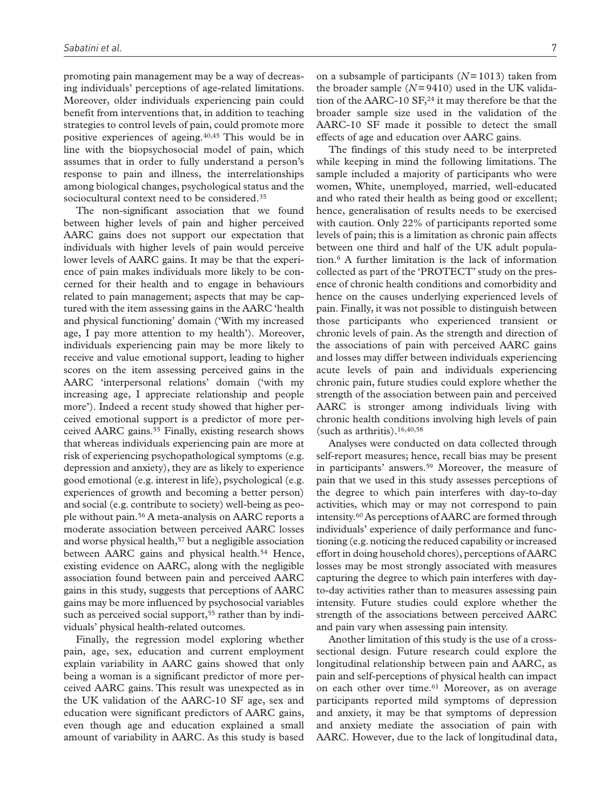promoting pain management may be a way of decreasing individuals' perceptions of age-related limitations. Moreover, older individuals experiencing pain could benefit from interventions that, in addition to teaching strategies to control levels of pain, could promote more positive experiences of ageing.40,45 This would be in line with the biopsychosocial model of pain, which assumes that in order to fully understand a person's response to pain and illness, the interrelationships among biological changes, psychological status and the sociocultural context need to be considered.<sup>35</sup>

The non-significant association that we found between higher levels of pain and higher perceived AARC gains does not support our expectation that individuals with higher levels of pain would perceive lower levels of AARC gains. It may be that the experience of pain makes individuals more likely to be concerned for their health and to engage in behaviours related to pain management; aspects that may be captured with the item assessing gains in the AARC 'health and physical functioning' domain ('With my increased age, I pay more attention to my health'). Moreover, individuals experiencing pain may be more likely to receive and value emotional support, leading to higher scores on the item assessing perceived gains in the AARC 'interpersonal relations' domain ('with my increasing age, I appreciate relationship and people more'). Indeed a recent study showed that higher perceived emotional support is a predictor of more perceived AARC gains.<sup>55</sup> Finally, existing research shows that whereas individuals experiencing pain are more at risk of experiencing psychopathological symptoms (e.g. depression and anxiety), they are as likely to experience good emotional (e.g. interest in life), psychological (e.g. experiences of growth and becoming a better person) and social (e.g. contribute to society) well-being as people without pain.56 A meta-analysis on AARC reports a moderate association between perceived AARC losses and worse physical health,<sup>57</sup> but a negligible association between AARC gains and physical health.<sup>54</sup> Hence, existing evidence on AARC, along with the negligible association found between pain and perceived AARC gains in this study, suggests that perceptions of AARC gains may be more influenced by psychosocial variables such as perceived social support,<sup>55</sup> rather than by individuals' physical health-related outcomes.

Finally, the regression model exploring whether pain, age, sex, education and current employment explain variability in AARC gains showed that only being a woman is a significant predictor of more perceived AARC gains. This result was unexpected as in the UK validation of the AARC-10 SF age, sex and education were significant predictors of AARC gains, even though age and education explained a small amount of variability in AARC. As this study is based

on a subsample of participants (*N*=1013) taken from the broader sample  $(N=9410)$  used in the UK validation of the AARC-10 SF, $^{24}$  it may therefore be that the broader sample size used in the validation of the AARC-10 SF made it possible to detect the small effects of age and education over AARC gains.

The findings of this study need to be interpreted while keeping in mind the following limitations. The sample included a majority of participants who were women, White, unemployed, married, well-educated and who rated their health as being good or excellent; hence, generalisation of results needs to be exercised with caution. Only 22% of participants reported some levels of pain; this is a limitation as chronic pain affects between one third and half of the UK adult population.6 A further limitation is the lack of information collected as part of the 'PROTECT' study on the presence of chronic health conditions and comorbidity and hence on the causes underlying experienced levels of pain. Finally, it was not possible to distinguish between those participants who experienced transient or chronic levels of pain. As the strength and direction of the associations of pain with perceived AARC gains and losses may differ between individuals experiencing acute levels of pain and individuals experiencing chronic pain, future studies could explore whether the strength of the association between pain and perceived AARC is stronger among individuals living with chronic health conditions involving high levels of pain (such as arthritis).16,40,58

Analyses were conducted on data collected through self-report measures; hence, recall bias may be present in participants' answers.<sup>59</sup> Moreover, the measure of pain that we used in this study assesses perceptions of the degree to which pain interferes with day-to-day activities, which may or may not correspond to pain intensity.60 As perceptions of AARC are formed through individuals' experience of daily performance and functioning (e.g. noticing the reduced capability or increased effort in doing household chores), perceptions of AARC losses may be most strongly associated with measures capturing the degree to which pain interferes with dayto-day activities rather than to measures assessing pain intensity. Future studies could explore whether the strength of the associations between perceived AARC and pain vary when assessing pain intensity.

Another limitation of this study is the use of a crosssectional design. Future research could explore the longitudinal relationship between pain and AARC, as pain and self-perceptions of physical health can impact on each other over time.<sup>61</sup> Moreover, as on average participants reported mild symptoms of depression and anxiety, it may be that symptoms of depression and anxiety mediate the association of pain with AARC. However, due to the lack of longitudinal data,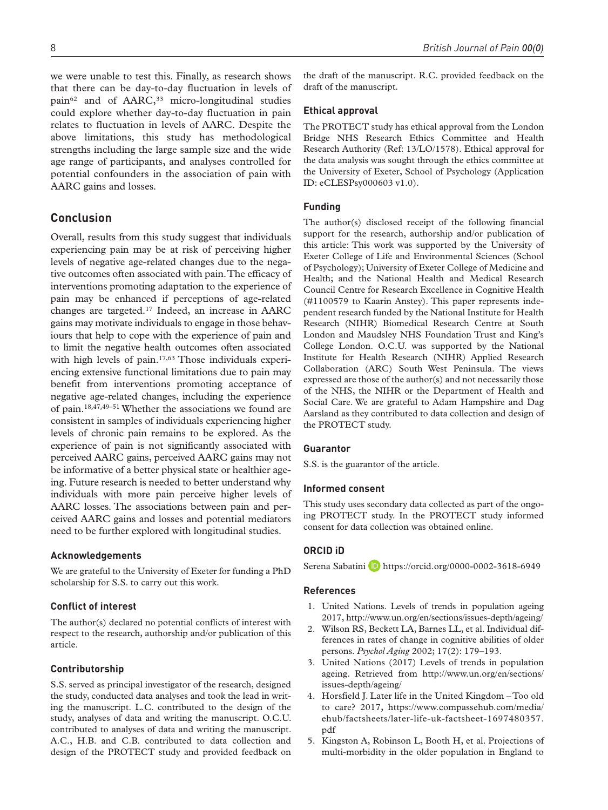we were unable to test this. Finally, as research shows that there can be day-to-day fluctuation in levels of pain<sup>62</sup> and of AARC,<sup>33</sup> micro-longitudinal studies could explore whether day-to-day fluctuation in pain relates to fluctuation in levels of AARC. Despite the above limitations, this study has methodological strengths including the large sample size and the wide age range of participants, and analyses controlled for potential confounders in the association of pain with AARC gains and losses.

# **Conclusion**

Overall, results from this study suggest that individuals experiencing pain may be at risk of perceiving higher levels of negative age-related changes due to the negative outcomes often associated with pain. The efficacy of interventions promoting adaptation to the experience of pain may be enhanced if perceptions of age-related changes are targeted.17 Indeed, an increase in AARC gains may motivate individuals to engage in those behaviours that help to cope with the experience of pain and to limit the negative health outcomes often associated with high levels of pain.17,63 Those individuals experiencing extensive functional limitations due to pain may benefit from interventions promoting acceptance of negative age-related changes, including the experience of pain.18,47,49–51 Whether the associations we found are consistent in samples of individuals experiencing higher levels of chronic pain remains to be explored. As the experience of pain is not significantly associated with perceived AARC gains, perceived AARC gains may not be informative of a better physical state or healthier ageing. Future research is needed to better understand why individuals with more pain perceive higher levels of AARC losses. The associations between pain and perceived AARC gains and losses and potential mediators need to be further explored with longitudinal studies.

#### **Acknowledgements**

We are grateful to the University of Exeter for funding a PhD scholarship for S.S. to carry out this work.

#### **Conflict of interest**

The author(s) declared no potential conflicts of interest with respect to the research, authorship and/or publication of this article.

#### **Contributorship**

S.S. served as principal investigator of the research, designed the study, conducted data analyses and took the lead in writing the manuscript. L.C. contributed to the design of the study, analyses of data and writing the manuscript. O.C.U. contributed to analyses of data and writing the manuscript. A.C., H.B. and C.B. contributed to data collection and design of the PROTECT study and provided feedback on

the draft of the manuscript. R.C. provided feedback on the draft of the manuscript.

#### **Ethical approval**

The PROTECT study has ethical approval from the London Bridge NHS Research Ethics Committee and Health Research Authority (Ref: 13/LO/1578). Ethical approval for the data analysis was sought through the ethics committee at the University of Exeter, School of Psychology (Application ID: eCLESPsy000603 v1.0).

#### **Funding**

The author(s) disclosed receipt of the following financial support for the research, authorship and/or publication of this article: This work was supported by the University of Exeter College of Life and Environmental Sciences (School of Psychology); University of Exeter College of Medicine and Health; and the National Health and Medical Research Council Centre for Research Excellence in Cognitive Health (#1100579 to Kaarin Anstey). This paper represents independent research funded by the National Institute for Health Research (NIHR) Biomedical Research Centre at South London and Maudsley NHS Foundation Trust and King's College London. O.C.U. was supported by the National Institute for Health Research (NIHR) Applied Research Collaboration (ARC) South West Peninsula. The views expressed are those of the author(s) and not necessarily those of the NHS, the NIHR or the Department of Health and Social Care. We are grateful to Adam Hampshire and Dag Aarsland as they contributed to data collection and design of the PROTECT study.

#### **Guarantor**

S.S. is the guarantor of the article.

#### **Informed consent**

This study uses secondary data collected as part of the ongoing PROTECT study. In the PROTECT study informed consent for data collection was obtained online.

## **ORCID iD**

Serena Sabatini D <https://orcid.org/0000-0002-3618-6949>

#### **References**

- 1. United Nations. Levels of trends in population ageing 2017,<http://www.un.org/en/sections/issues-depth/ageing/>
- 2. Wilson RS, Beckett LA, Barnes LL, et al. Individual differences in rates of change in cognitive abilities of older persons. *Psychol Aging* 2002; 17(2): 179–193.
- 3. United Nations (2017) Levels of trends in population ageing. Retrieved from [http://www.un.org/en/sections/](http://www.un.org/en/sections/issues-depth/ageing/) [issues-depth/ageing/](http://www.un.org/en/sections/issues-depth/ageing/)
- 4. Horsfield J. Later life in the United Kingdom Too old to care? 2017, [https://www.compassehub.com/media/](https://www.compassehub.com/media/ehub/factsheets/later-life-uk-factsheet-1697480357.pdf) [ehub/factsheets/later-life-uk-factsheet-1697480357.](https://www.compassehub.com/media/ehub/factsheets/later-life-uk-factsheet-1697480357.pdf) [pdf](https://www.compassehub.com/media/ehub/factsheets/later-life-uk-factsheet-1697480357.pdf)
- 5. Kingston A, Robinson L, Booth H, et al. Projections of multi-morbidity in the older population in England to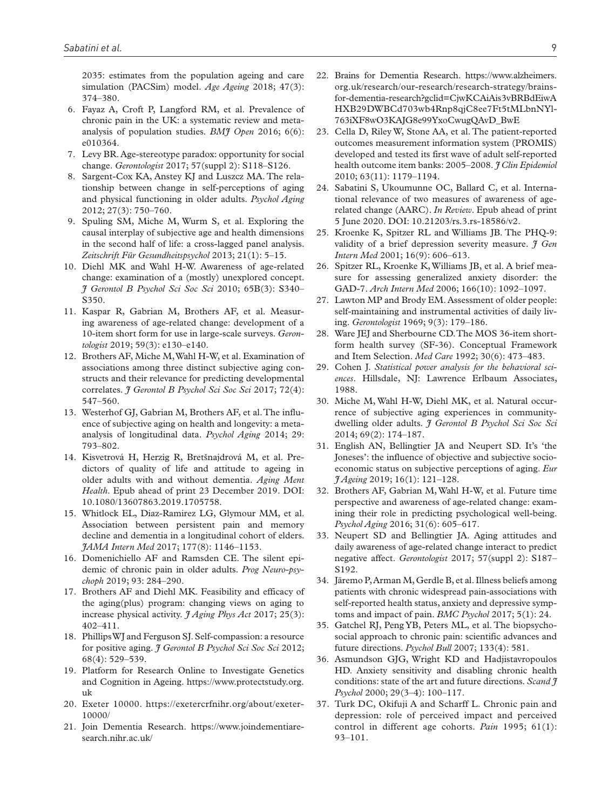2035: estimates from the population ageing and care simulation (PACSim) model. *Age Ageing* 2018; 47(3): 374–380.

- 6. Fayaz A, Croft P, Langford RM, et al. Prevalence of chronic pain in the UK: a systematic review and metaanalysis of population studies. *BMJ Open* 2016; 6(6): e010364.
- 7. Levy BR. Age-stereotype paradox: opportunity for social change. *Gerontologist* 2017; 57(suppl 2): S118–S126.
- 8. Sargent-Cox KA, Anstey KJ and Luszcz MA. The relationship between change in self-perceptions of aging and physical functioning in older adults. *Psychol Aging* 2012; 27(3): 750–760.
- 9. Spuling SM, Miche M, Wurm S, et al. Exploring the causal interplay of subjective age and health dimensions in the second half of life: a cross-lagged panel analysis. *Zeitschrift Für Gesundheitspsychol* 2013; 21(1): 5–15.
- 10. Diehl MK and Wahl H-W. Awareness of age-related change: examination of a (mostly) unexplored concept. *J Gerontol B Psychol Sci Soc Sci* 2010; 65B(3): S340– S350.
- 11. Kaspar R, Gabrian M, Brothers AF, et al. Measuring awareness of age-related change: development of a 10-item short form for use in large-scale surveys. *Gerontologist* 2019; 59(3): e130–e140.
- 12. Brothers AF, Miche M, Wahl H-W, et al. Examination of associations among three distinct subjective aging constructs and their relevance for predicting developmental correlates. *J Gerontol B Psychol Sci Soc Sci* 2017; 72(4): 547–560.
- 13. Westerhof GJ, Gabrian M, Brothers AF, et al. The influence of subjective aging on health and longevity: a metaanalysis of longitudinal data. *Psychol Aging* 2014; 29: 793–802.
- 14. Kisvetrová H, Herzig R, Bretšnajdrová M, et al. Predictors of quality of life and attitude to ageing in older adults with and without dementia. *Aging Ment Health*. Epub ahead of print 23 December 2019. DOI: 10.1080/13607863.2019.1705758.
- 15. Whitlock EL, Diaz-Ramirez LG, Glymour MM, et al. Association between persistent pain and memory decline and dementia in a longitudinal cohort of elders. *JAMA Intern Med* 2017; 177(8): 1146–1153.
- 16. Domenichiello AF and Ramsden CE. The silent epidemic of chronic pain in older adults. *Prog Neuro-psychoph* 2019; 93: 284–290.
- 17. Brothers AF and Diehl MK. Feasibility and efficacy of the aging(plus) program: changing views on aging to increase physical activity. *J Aging Phys Act* 2017; 25(3): 402–411.
- 18. Phillips WJ and Ferguson SJ. Self-compassion: a resource for positive aging. *J Gerontol B Psychol Sci Soc Sci* 2012; 68(4): 529–539.
- 19. Platform for Research Online to Investigate Genetics and Cognition in Ageing. [https://www.protectstudy.org.](https://www.protectstudy.org.uk) [uk](https://www.protectstudy.org.uk)
- 20. Exeter 10000. [https://exetercrfnihr.org/about/exeter-](https://exetercrfnihr.org/about/exeter-10000/)[10000/](https://exetercrfnihr.org/about/exeter-10000/)
- 21. Join Dementia Research. [https://www.joindementiare](https://www.joindementiaresearch.nihr.ac.uk/)[search.nihr.ac.uk/](https://www.joindementiaresearch.nihr.ac.uk/)
- 22. Brains for Dementia Research. [https://www.alzheimers.](https://www.alzheimers.org.uk/research/our-research/research-strategy/brains-for-dementia-research?gclid=CjwKCAiAis3vBRBdEiwAHXB29DWBCd703wb4Rnp8qjC8ee7Ft5tMLbnNYl763iXF8wO3KAJG8e99YxoCwugQAvD_BwE) [org.uk/research/our-research/research-strategy/brains](https://www.alzheimers.org.uk/research/our-research/research-strategy/brains-for-dementia-research?gclid=CjwKCAiAis3vBRBdEiwAHXB29DWBCd703wb4Rnp8qjC8ee7Ft5tMLbnNYl763iXF8wO3KAJG8e99YxoCwugQAvD_BwE)[for-dementia-research?gclid=CjwKCAiAis3vBRBdEiwA](https://www.alzheimers.org.uk/research/our-research/research-strategy/brains-for-dementia-research?gclid=CjwKCAiAis3vBRBdEiwAHXB29DWBCd703wb4Rnp8qjC8ee7Ft5tMLbnNYl763iXF8wO3KAJG8e99YxoCwugQAvD_BwE) [HXB29DWBCd703wb4Rnp8qjC8ee7Ft5tMLbnNYl-](https://www.alzheimers.org.uk/research/our-research/research-strategy/brains-for-dementia-research?gclid=CjwKCAiAis3vBRBdEiwAHXB29DWBCd703wb4Rnp8qjC8ee7Ft5tMLbnNYl763iXF8wO3KAJG8e99YxoCwugQAvD_BwE)[763iXF8wO3KAJG8e99YxoCwugQAvD\\_BwE](https://www.alzheimers.org.uk/research/our-research/research-strategy/brains-for-dementia-research?gclid=CjwKCAiAis3vBRBdEiwAHXB29DWBCd703wb4Rnp8qjC8ee7Ft5tMLbnNYl763iXF8wO3KAJG8e99YxoCwugQAvD_BwE)
- 23. Cella D, Riley W, Stone AA, et al. The patient-reported outcomes measurement information system (PROMIS) developed and tested its first wave of adult self-reported health outcome item banks: 2005–2008. *J Clin Epidemiol* 2010; 63(11): 1179–1194.
- 24. Sabatini S, Ukoumunne OC, Ballard C, et al. International relevance of two measures of awareness of agerelated change (AARC). *In Review*. Epub ahead of print 5 June 2020. DOI: 10.21203/rs.3.rs-18586/v2.
- 25. Kroenke K, Spitzer RL and Williams JB. The PHQ-9: validity of a brief depression severity measure. *J Gen Intern Med* 2001; 16(9): 606–613.
- 26. Spitzer RL, Kroenke K, Williams JB, et al. A brief measure for assessing generalized anxiety disorder: the GAD-7. *Arch Intern Med* 2006; 166(10): 1092–1097.
- 27. Lawton MP and Brody EM. Assessment of older people: self-maintaining and instrumental activities of daily living. *Gerontologist* 1969; 9(3): 179–186.
- 28. Ware JEJ and Sherbourne CD. The MOS 36-item shortform health survey (SF-36). Conceptual Framework and Item Selection. *Med Care* 1992; 30(6): 473–483.
- 29. Cohen J. *Statistical power analysis for the behavioral sciences*. Hillsdale, NJ: Lawrence Erlbaum Associates, 1988.
- 30. Miche M, Wahl H-W, Diehl MK, et al. Natural occurrence of subjective aging experiences in communitydwelling older adults. *J Gerontol B Psychol Sci Soc Sci* 2014; 69(2): 174–187.
- 31. English AN, Bellingtier JA and Neupert SD. It's 'the Joneses': the influence of objective and subjective socioeconomic status on subjective perceptions of aging. *Eur J Ageing* 2019; 16(1): 121–128.
- 32. Brothers AF, Gabrian M, Wahl H-W, et al. Future time perspective and awareness of age-related change: examining their role in predicting psychological well-being. *Psychol Aging* 2016; 31(6): 605–617.
- 33. Neupert SD and Bellingtier JA. Aging attitudes and daily awareness of age-related change interact to predict negative affect. *Gerontologist* 2017; 57(suppl 2): S187– S192.
- 34. Järemo P, Arman M, Gerdle B, et al. Illness beliefs among patients with chronic widespread pain-associations with self-reported health status, anxiety and depressive symptoms and impact of pain. *BMC Psychol* 2017; 5(1): 24.
- 35. Gatchel RJ, Peng YB, Peters ML, et al. The biopsychosocial approach to chronic pain: scientific advances and future directions. *Psychol Bull* 2007; 133(4): 581.
- 36. Asmundson GJG, Wright KD and Hadjistavropoulos HD. Anxiety sensitivity and disabling chronic health conditions: state of the art and future directions. *Scand J Psychol* 2000; 29(3–4): 100–117.
- 37. Turk DC, Okifuji A and Scharff L. Chronic pain and depression: role of perceived impact and perceived control in different age cohorts. *Pain* 1995; 61(1): 93–101.